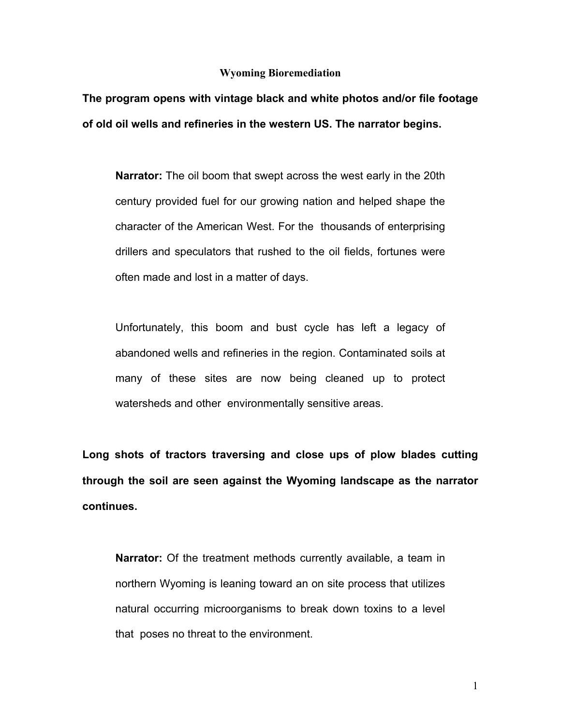## **Wyoming Bioremediation**

**The program opens with vintage black and white photos and/or file footage of old oil wells and refineries in the western US. The narrator begins.** 

**Narrator:** The oil boom that swept across the west early in the 20th century provided fuel for our growing nation and helped shape the character of the American West. For the thousands of enterprising drillers and speculators that rushed to the oil fields, fortunes were often made and lost in a matter of days.

Unfortunately, this boom and bust cycle has left a legacy of abandoned wells and refineries in the region. Contaminated soils at many of these sites are now being cleaned up to protect watersheds and other environmentally sensitive areas.

**Long shots of tractors traversing and close ups of plow blades cutting through the soil are seen against the Wyoming landscape as the narrator continues.** 

**Narrator:** Of the treatment methods currently available, a team in northern Wyoming is leaning toward an on site process that utilizes natural occurring microorganisms to break down toxins to a level that poses no threat to the environment.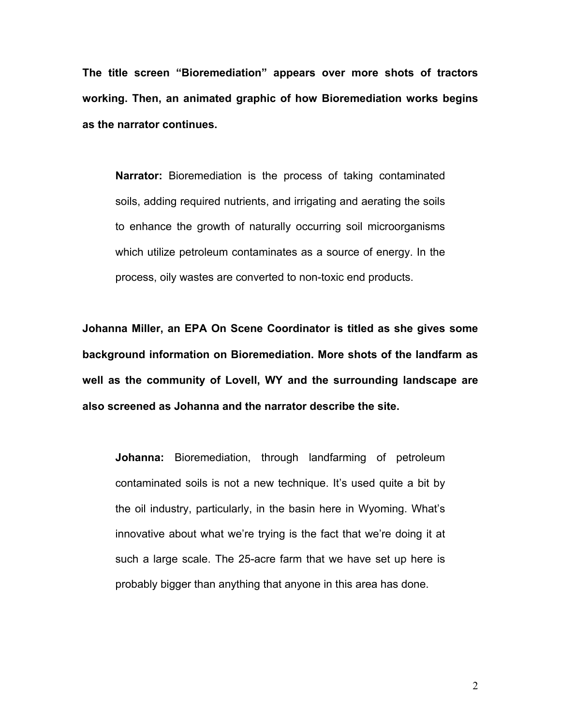The title screen "Bioremediation" appears over more shots of tractors **working. Then, an animated graphic of how Bioremediation works begins as the narrator continues.**

**Narrator:** Bioremediation is the process of taking contaminated soils, adding required nutrients, and irrigating and aerating the soils to enhance the growth of naturally occurring soil microorganisms which utilize petroleum contaminates as a source of energy. In the process, oily wastes are converted to non-toxic end products.

**Johanna Miller, an EPA On Scene Coordinator is titled as she gives some background information on Bioremediation. More shots of the landfarm as well as the community of Lovell, WY and the surrounding landscape are also screened as Johanna and the narrator describe the site.**

**Johanna:** Bioremediation, through landfarming of petroleum contaminated soils is not a new technique. It's used quite a bit by the oil industry, particularly, in the basin here in Wyoming. What's innovative about what we're trying is the fact that we're doing it at such a large scale. The 25-acre farm that we have set up here is probably bigger than anything that anyone in this area has done.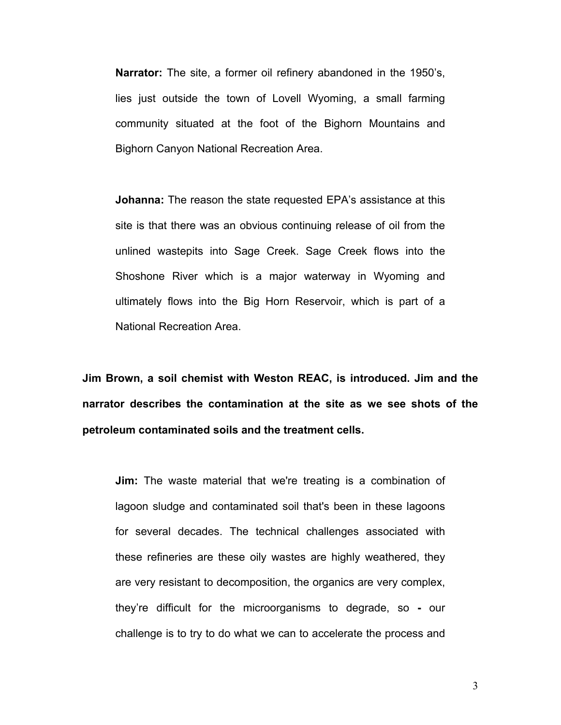**Narrator:** The site, a former oil refinery abandoned in the 1950's, lies just outside the town of Lovell Wyoming, a small farming community situated at the foot of the Bighorn Mountains and Bighorn Canyon National Recreation Area.

**Johanna:** The reason the state requested EPAís assistance at this site is that there was an obvious continuing release of oil from the unlined wastepits into Sage Creek. Sage Creek flows into the Shoshone River which is a major waterway in Wyoming and ultimately flows into the Big Horn Reservoir, which is part of a National Recreation Area.

**Jim Brown, a soil chemist with Weston REAC, is introduced. Jim and the narrator describes the contamination at the site as we see shots of the petroleum contaminated soils and the treatment cells.** 

**Jim:** The waste material that we're treating is a combination of lagoon sludge and contaminated soil that's been in these lagoons for several decades. The technical challenges associated with these refineries are these oily wastes are highly weathered, they are very resistant to decomposition, the organics are very complex, theyíre difficult for the microorganisms to degrade, so **-** our challenge is to try to do what we can to accelerate the process and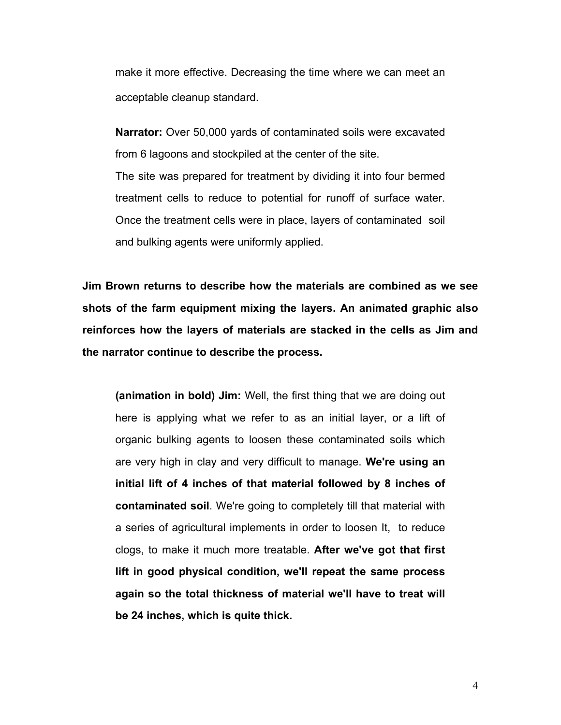make it more effective. Decreasing the time where we can meet an acceptable cleanup standard.

**Narrator:** Over 50,000 yards of contaminated soils were excavated from 6 lagoons and stockpiled at the center of the site. The site was prepared for treatment by dividing it into four bermed treatment cells to reduce to potential for runoff of surface water. Once the treatment cells were in place, layers of contaminated soil and bulking agents were uniformly applied.

**Jim Brown returns to describe how the materials are combined as we see shots of the farm equipment mixing the layers. An animated graphic also reinforces how the layers of materials are stacked in the cells as Jim and the narrator continue to describe the process.** 

**(animation in bold) Jim:** Well, the first thing that we are doing out here is applying what we refer to as an initial layer, or a lift of organic bulking agents to loosen these contaminated soils which are very high in clay and very difficult to manage. **We're using an initial lift of 4 inches of that material followed by 8 inches of contaminated soil**. We're going to completely till that material with a series of agricultural implements in order to loosen It, to reduce clogs, to make it much more treatable. **After we've got that first lift in good physical condition, we'll repeat the same process again so the total thickness of material we'll have to treat will be 24 inches, which is quite thick.**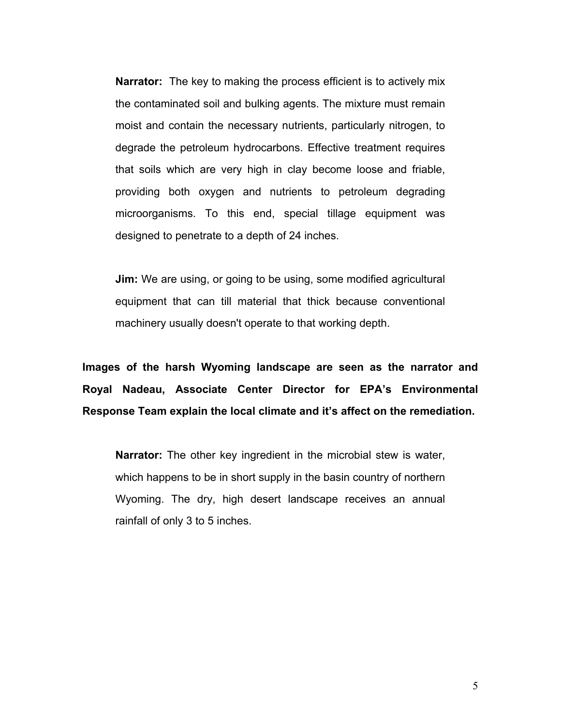**Narrator:** The key to making the process efficient is to actively mix the contaminated soil and bulking agents. The mixture must remain moist and contain the necessary nutrients, particularly nitrogen, to degrade the petroleum hydrocarbons. Effective treatment requires that soils which are very high in clay become loose and friable, providing both oxygen and nutrients to petroleum degrading microorganisms. To this end, special tillage equipment was designed to penetrate to a depth of 24 inches.

**Jim:** We are using, or going to be using, some modified agricultural equipment that can till material that thick because conventional machinery usually doesn't operate to that working depth.

**Images of the harsh Wyoming landscape are seen as the narrator and Royal Nadeau, Associate Center Director for EPAís Environmental**  Response Team explain the local climate and it's affect on the remediation.

**Narrator:** The other key ingredient in the microbial stew is water, which happens to be in short supply in the basin country of northern Wyoming. The dry, high desert landscape receives an annual rainfall of only 3 to 5 inches.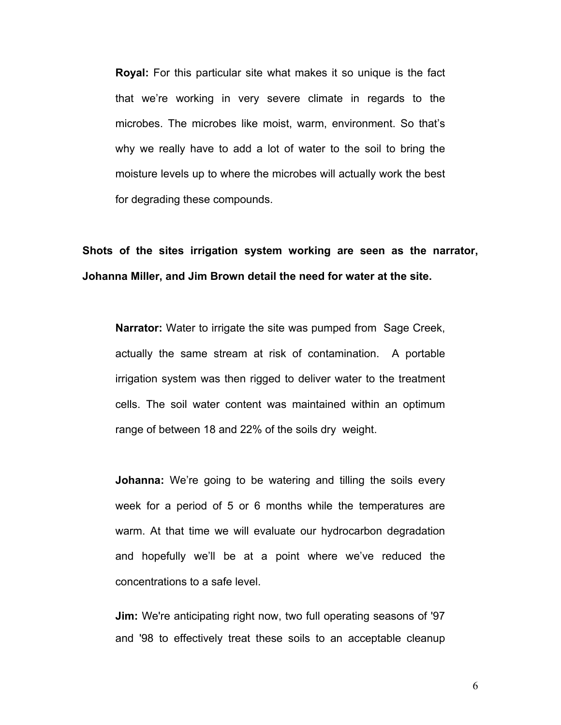**Royal:** For this particular site what makes it so unique is the fact that weíre working in very severe climate in regards to the microbes. The microbes like moist, warm, environment. So thatís why we really have to add a lot of water to the soil to bring the moisture levels up to where the microbes will actually work the best for degrading these compounds.

## **Shots of the sites irrigation system working are seen as the narrator, Johanna Miller, and Jim Brown detail the need for water at the site.**

**Narrator:** Water to irrigate the site was pumped from Sage Creek, actually the same stream at risk of contamination. A portable irrigation system was then rigged to deliver water to the treatment cells. The soil water content was maintained within an optimum range of between 18 and 22% of the soils dry weight.

**Johanna:** We're going to be watering and tilling the soils every week for a period of 5 or 6 months while the temperatures are warm. At that time we will evaluate our hydrocarbon degradation and hopefully we'll be at a point where we've reduced the concentrations to a safe level.

**Jim:** We're anticipating right now, two full operating seasons of '97 and '98 to effectively treat these soils to an acceptable cleanup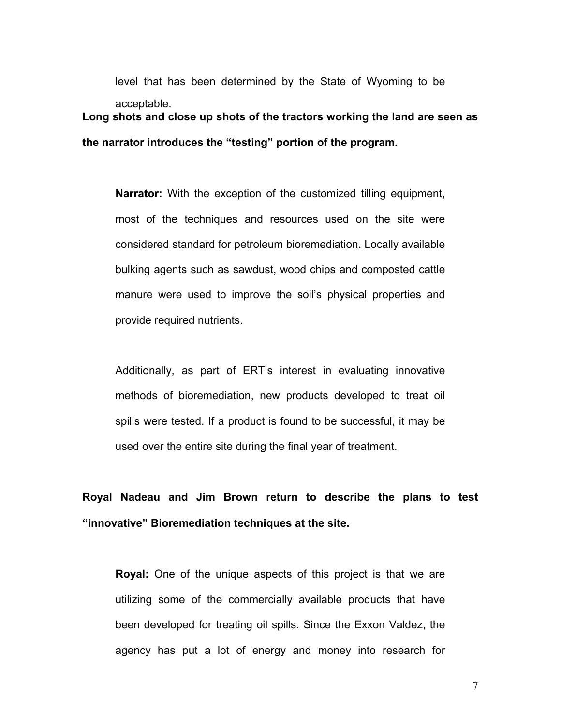level that has been determined by the State of Wyoming to be acceptable. **Long shots and close up shots of the tractors working the land are seen as** 

the narrator introduces the "testing" portion of the program.

**Narrator:** With the exception of the customized tilling equipment, most of the techniques and resources used on the site were considered standard for petroleum bioremediation. Locally available bulking agents such as sawdust, wood chips and composted cattle manure were used to improve the soil's physical properties and provide required nutrients.

Additionally, as part of ERT's interest in evaluating innovative methods of bioremediation, new products developed to treat oil spills were tested. If a product is found to be successful, it may be used over the entire site during the final year of treatment.

**Royal Nadeau and Jim Brown return to describe the plans to test ìinnovativeî Bioremediation techniques at the site.** 

**Royal:** One of the unique aspects of this project is that we are utilizing some of the commercially available products that have been developed for treating oil spills. Since the Exxon Valdez, the agency has put a lot of energy and money into research for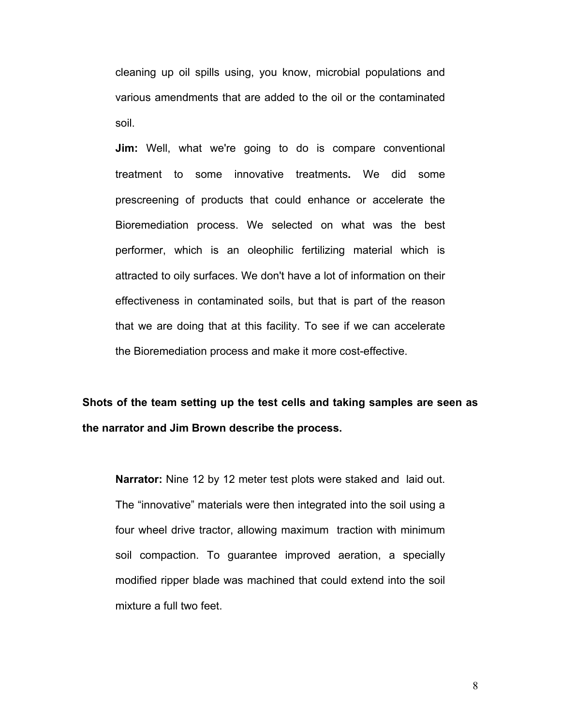cleaning up oil spills using, you know, microbial populations and various amendments that are added to the oil or the contaminated soil.

**Jim:** Well, what we're going to do is compare conventional treatment to some innovative treatments**.** We did some prescreening of products that could enhance or accelerate the Bioremediation process. We selected on what was the best performer, which is an oleophilic fertilizing material which is attracted to oily surfaces. We don't have a lot of information on their effectiveness in contaminated soils, but that is part of the reason that we are doing that at this facility. To see if we can accelerate the Bioremediation process and make it more cost-effective.

**Shots of the team setting up the test cells and taking samples are seen as the narrator and Jim Brown describe the process.**

**Narrator:** Nine 12 by 12 meter test plots were staked and laid out. The "innovative" materials were then integrated into the soil using a four wheel drive tractor, allowing maximum traction with minimum soil compaction. To guarantee improved aeration, a specially modified ripper blade was machined that could extend into the soil mixture a full two feet.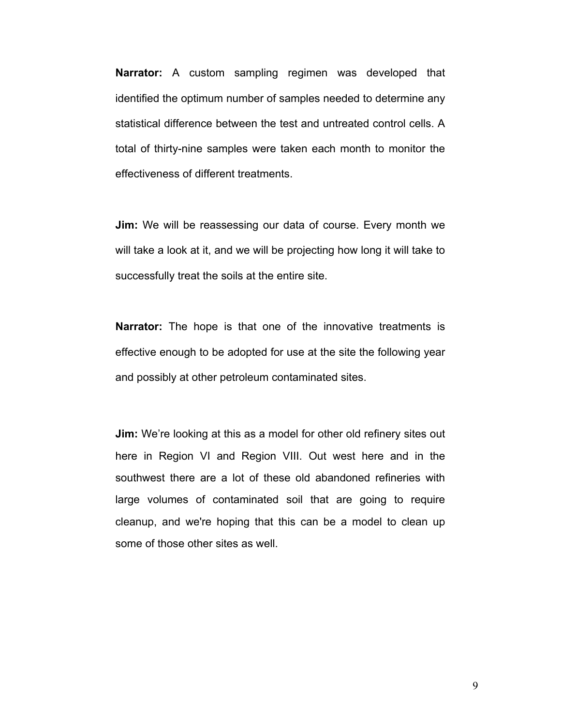**Narrator:** A custom sampling regimen was developed that identified the optimum number of samples needed to determine any statistical difference between the test and untreated control cells. A total of thirty-nine samples were taken each month to monitor the effectiveness of different treatments.

**Jim:** We will be reassessing our data of course. Every month we will take a look at it, and we will be projecting how long it will take to successfully treat the soils at the entire site.

**Narrator:** The hope is that one of the innovative treatments is effective enough to be adopted for use at the site the following year and possibly at other petroleum contaminated sites.

**Jim:** We're looking at this as a model for other old refinery sites out here in Region VI and Region VIII. Out west here and in the southwest there are a lot of these old abandoned refineries with large volumes of contaminated soil that are going to require cleanup, and we're hoping that this can be a model to clean up some of those other sites as well.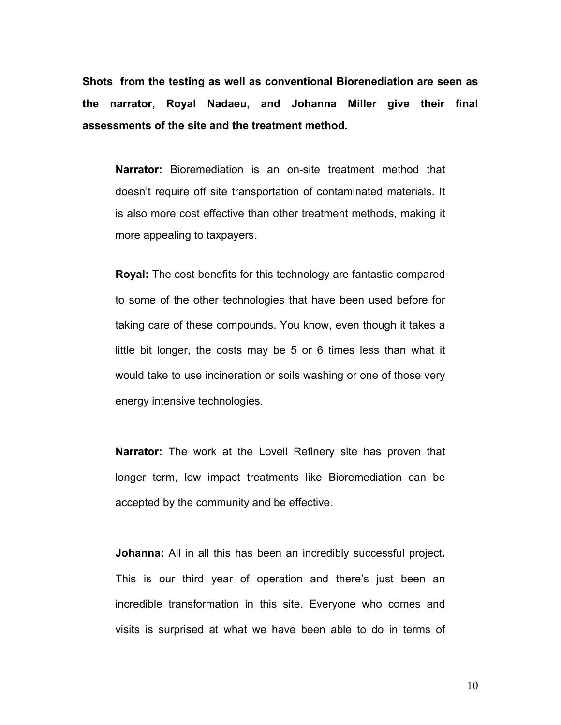**Shots from the testing as well as conventional Biorenediation are seen as the narrator, Royal Nadaeu, and Johanna Miller give their final assessments of the site and the treatment method.** 

**Narrator:** Bioremediation is an on-site treatment method that doesn't require off site transportation of contaminated materials. It is also more cost effective than other treatment methods, making it more appealing to taxpayers.

**Royal:** The cost benefits for this technology are fantastic compared to some of the other technologies that have been used before for taking care of these compounds. You know, even though it takes a little bit longer, the costs may be 5 or 6 times less than what it would take to use incineration or soils washing or one of those very energy intensive technologies.

**Narrator:** The work at the Lovell Refinery site has proven that longer term, low impact treatments like Bioremediation can be accepted by the community and be effective.

**Johanna:** All in all this has been an incredibly successful project**.** This is our third year of operation and there's just been an incredible transformation in this site. Everyone who comes and visits is surprised at what we have been able to do in terms of